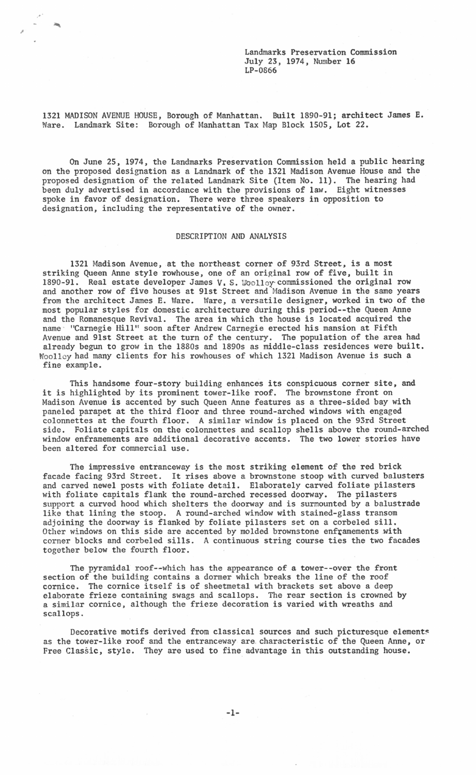Landmarks Preservation Commission July 23, 1974, Number 16 LP-0866

1321 MADISON AVENUE HOUSE, Borough of Manhattan. Built 1890-91; architect James E. Ware. Landmark Site: Borough of Manhattan Tax Map Block 1505, Lot 22.

On June *25,* 1974, the Landmarks Preservation Commission held a public hearing on the proposed designation as a Landmark of the 1321 Madison Avenue House and the proposed designation of the related Landmark Site (Item No. 11). The hearing had been duly advertised in accordance with the provisions of law. Eight witnesses spoke in favor of designation. There were three speakers in opposition to designation, including the representative of the owner.

## DESCRIPTION AND ANALYSIS

1321 Madison Avenue, at the northeast corner of 93rd Street, is a most striking Queen Anne style rowhouse, one of an original row of five, built in 1890-91. Real estate developer James V. s. Woolley· commissioned the original row and another row of five houses at 91st Street and Madison Avenue in the same years from the architect James E. Ware. Ware, a versatile designer, worked in two of the most popular styles for domestic architecture during this period--the Queen Anne and the Romanesque Revival. The area in which the house is located acquired the name "Carnegie Hill" soon after Andrew Carnegie erected his mansion at Fifth Avenue and 9lst Street at the turn of the century. The population of the area had already begun to grow in the 1880s and 1890s as middle-class residences were built. Woolley had many clients for his rowhouses of which 1321 Madison Avenue is such a fine example.

This handsome four-story building enhances its conspicuous corner site, and ints handsome four-story building emhances its conspicuous corner site<br>it is highlighted by its prominent tower-like roof. The brownstone front on Madison Avenue is accented by such Queen Anne features as a three-sided bay with paneled parapet at the third floor and three round-arched windows with engaged colonnettes at the fourth floor. A similar window is placed on the 93rd Street side. Foliate capitals on the colonnettes and scallop shells above the round-arched window enframements are additional decorative accents. The two lower stories have been altered for commercial use.

The impressive entranceway is the most striking element of the red brick facade facing 93rd Street. It rises above a brownstone stoop with curved balusters and carved newel posts with foliate detail. Elaborately carved foliate pilasters with foliate capitals flank the round-arched recessed doorway. The pilasters support a curved hood which shelters the doorway and is surmounted by a balustrade like that lining the stoop. A round-arched window with stained-glass transom adjoining the doorway is flanked by foliate pilasters set on a corbeled sill. Other windows on this side are accented by molded brownstone enframements with corner blocks and corbeled sills. A continuous string course ties the two facades together below the fourth floor.

The pyramidal roof--which has the appearance of a tower--over the front section of the building contains a dormer which breaks the line of the roof cornice. The cornice itself is of sheetmetal with brackets set above a deep elaborate frieze containing swags and scallops. The rear section is crowned by a similar cornice, although the frieze decoration is varied with wreaths and scallops.

Decorative motifs derived from classical sources and such picturesque elements as the tower-like roof and the entranceway are. characteristic of the Queen Anne, or Free Classic, style. They are used to fine advantage in this outstanding house.